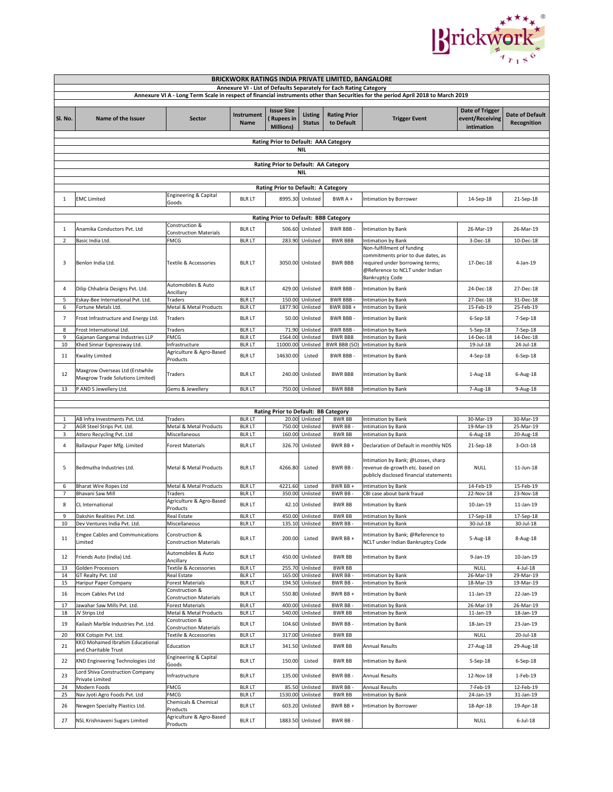

| BRICKWORK RATINGS INDIA PRIVATE LIMITED, BANGALORE                                                                                |                                                                     |                                                 |                                |                                                    |                                    |                                   |                                                                                                                                                                  |                                                         |                                       |  |  |  |
|-----------------------------------------------------------------------------------------------------------------------------------|---------------------------------------------------------------------|-------------------------------------------------|--------------------------------|----------------------------------------------------|------------------------------------|-----------------------------------|------------------------------------------------------------------------------------------------------------------------------------------------------------------|---------------------------------------------------------|---------------------------------------|--|--|--|
| Annexure VI - List of Defaults Separately for Each Rating Category                                                                |                                                                     |                                                 |                                |                                                    |                                    |                                   |                                                                                                                                                                  |                                                         |                                       |  |  |  |
| Annexure VI A - Long Term Scale in respect of financial instruments other than Securities for the period April 2018 to March 2019 |                                                                     |                                                 |                                |                                                    |                                    |                                   |                                                                                                                                                                  |                                                         |                                       |  |  |  |
| SI. No.                                                                                                                           | Name of the Issuer                                                  | <b>Sector</b>                                   | Instrument<br>Name             | <b>Issue Size</b><br><b>Rupees in</b><br>Millions) | <b>Listing</b><br><b>Status</b>    | <b>Rating Prior</b><br>to Default | <b>Trigger Event</b>                                                                                                                                             | <b>Date of Trigger</b><br>event/Receiving<br>intimation | <b>Date of Default</b><br>Recognition |  |  |  |
|                                                                                                                                   |                                                                     |                                                 |                                | Rating Prior to Default: AAA Category              |                                    |                                   |                                                                                                                                                                  |                                                         |                                       |  |  |  |
|                                                                                                                                   |                                                                     |                                                 |                                |                                                    | <b>NIL</b>                         |                                   |                                                                                                                                                                  |                                                         |                                       |  |  |  |
|                                                                                                                                   |                                                                     |                                                 |                                |                                                    |                                    |                                   |                                                                                                                                                                  |                                                         |                                       |  |  |  |
|                                                                                                                                   |                                                                     |                                                 |                                | Rating Prior to Default: AA Category               |                                    |                                   |                                                                                                                                                                  |                                                         |                                       |  |  |  |
|                                                                                                                                   |                                                                     |                                                 |                                |                                                    | <b>NIL</b>                         |                                   |                                                                                                                                                                  |                                                         |                                       |  |  |  |
|                                                                                                                                   |                                                                     |                                                 |                                | Rating Prior to Default: A Category                |                                    |                                   |                                                                                                                                                                  |                                                         |                                       |  |  |  |
|                                                                                                                                   |                                                                     | <b>Engineering &amp; Capital</b>                |                                |                                                    |                                    |                                   |                                                                                                                                                                  |                                                         |                                       |  |  |  |
| 1                                                                                                                                 | <b>EMC Limited</b>                                                  | Goods                                           | <b>BLR LT</b>                  |                                                    | 8995.30 Unlisted                   | BWR A+                            | Intimation by Borrower                                                                                                                                           | 14-Sep-18                                               | 21-Sep-18                             |  |  |  |
|                                                                                                                                   |                                                                     |                                                 |                                |                                                    |                                    |                                   |                                                                                                                                                                  |                                                         |                                       |  |  |  |
|                                                                                                                                   | Rating Prior to Default: BBB Category<br>Construction &             |                                                 |                                |                                                    |                                    |                                   |                                                                                                                                                                  |                                                         |                                       |  |  |  |
| 1                                                                                                                                 | Anamika Conductors Pvt. Ltd                                         | <b>Construction Materials</b>                   | <b>BLR LT</b>                  |                                                    | 506.60 Unlisted                    | BWR BBB-                          | Intimation by Bank                                                                                                                                               | 26-Mar-19                                               | 26-Mar-19                             |  |  |  |
| $\overline{2}$                                                                                                                    | Basic India Ltd.                                                    | <b>FMCG</b>                                     | <b>BLR LT</b>                  |                                                    | 283.90 Unlisted                    | <b>BWR BBB</b>                    | Intimation by Bank                                                                                                                                               | 3-Dec-18                                                | 10-Dec-18                             |  |  |  |
| 3                                                                                                                                 | Benlon India Ltd.                                                   | Textile & Accessories                           | <b>BLR LT</b>                  |                                                    | 3050.00 Unlisted                   | <b>BWR BBB</b>                    | Non-fulfillment of funding<br>commitments prior to due dates, as<br>required under borrowing terms;<br>@Reference to NCLT under Indian<br><b>Bankruptcy Code</b> | 17-Dec-18                                               | 4-Jan-19                              |  |  |  |
| 4                                                                                                                                 | Dilip Chhabria Designs Pvt. Ltd.                                    | Automobiles & Auto                              | <b>BLR LT</b>                  |                                                    | 429.00 Unlisted                    | <b>BWR BBB-</b>                   | <b>Intimation by Bank</b>                                                                                                                                        | 24-Dec-18                                               | 27-Dec-18                             |  |  |  |
| 5                                                                                                                                 | Eskay-Bee International Pvt. Ltd.                                   | Ancillary<br>Traders                            | <b>BLR LT</b>                  |                                                    | 150.00 Unlisted                    | <b>BWR BBB-</b>                   | Intimation by Bank                                                                                                                                               | 27-Dec-18                                               | 31-Dec-18                             |  |  |  |
| 6                                                                                                                                 | Fortune Metals Ltd.                                                 | Metal & Metal Products                          | <b>BLR LT</b>                  | 1877.90                                            | Unlisted                           | BWR BBB +                         | Intimation by Bank                                                                                                                                               | 15-Feb-19                                               | 25-Feb-19                             |  |  |  |
| $\overline{7}$                                                                                                                    | Frost Infrastructure and Energy Ltd.                                | Traders                                         | <b>BLR LT</b>                  |                                                    | 50.00 Unlisted                     | BWR BBB-                          | <b>Intimation by Bank</b>                                                                                                                                        | 6-Sep-18                                                | 7-Sep-18                              |  |  |  |
| 8                                                                                                                                 | Frost International Ltd.                                            | Traders                                         | <b>BLR LT</b>                  | 71.90                                              | Unlisted                           | <b>BWR BBB</b>                    | Intimation by Bank                                                                                                                                               | 5-Sep-18                                                | 7-Sep-18                              |  |  |  |
| 9                                                                                                                                 | Gajanan Gangamai Industries LLP                                     | <b>FMCG</b>                                     | <b>BLR LT</b>                  | 1564.00                                            | Unlisted                           | <b>BWR BBB</b>                    | Intimation by Bank                                                                                                                                               | 14-Dec-18                                               | 14-Dec-18                             |  |  |  |
| 10                                                                                                                                | Khed Sinnar Expressway Ltd.                                         | Infrastructure<br>Agriculture & Agro-Based      | <b>BLR LT</b>                  |                                                    | 11000.00 Unlisted                  | BWR BBB (SO)                      | Intimation by Bank                                                                                                                                               | 19-Jul-18                                               | 24-Jul-18                             |  |  |  |
| 11                                                                                                                                | Kwality Limited                                                     | Products                                        | <b>BLR LT</b>                  | 14630.00                                           | Listed                             | BWR BBB -                         | <b>Intimation by Bank</b>                                                                                                                                        | $4-Sep-18$                                              | $6-$ Sep $-18$                        |  |  |  |
| 12                                                                                                                                | Maxgrow Overseas Ltd (Erstwhile<br>Maxgrow Trade Solutions Limited) | Traders                                         | <b>BLR LT</b>                  |                                                    | 240.00 Unlisted                    | <b>BWR BBB</b>                    | Intimation by Bank                                                                                                                                               | 1-Aug-18                                                | 6-Aug-18                              |  |  |  |
| 13                                                                                                                                | P AND S Jewellery Ltd.                                              | Gems & Jewellery                                | <b>BLR LT</b>                  |                                                    | 750.00 Unlisted                    | <b>BWR BBB</b>                    | Intimation by Bank                                                                                                                                               | 7-Aug-18                                                | 9-Aug-18                              |  |  |  |
|                                                                                                                                   |                                                                     |                                                 |                                |                                                    |                                    |                                   |                                                                                                                                                                  |                                                         |                                       |  |  |  |
|                                                                                                                                   |                                                                     |                                                 |                                | Rating Prior to Default: BB Category               |                                    |                                   |                                                                                                                                                                  |                                                         |                                       |  |  |  |
| $\mathbf{1}$                                                                                                                      | AB Infra Investments Pvt. Ltd.                                      | Traders                                         | <b>BLR LT</b>                  |                                                    | 20.00 Unlisted                     | <b>BWR BB</b>                     | Intimation by Bank                                                                                                                                               | 30-Mar-19                                               | 30-Mar-19                             |  |  |  |
| $\overline{2}$                                                                                                                    | AGR Steel Strips Pvt. Ltd.                                          | Metal & Metal Products                          | <b>BLR LT</b>                  | 750.00                                             | Unlisted                           | <b>BWR BB</b>                     | Intimation by Bank                                                                                                                                               | 19-Mar-19                                               | 25-Mar-19                             |  |  |  |
| 3                                                                                                                                 | Attero Recycling Pvt. Ltd                                           | Miscellaneous                                   | <b>BLR LT</b>                  |                                                    | 160.00 Unlisted                    | <b>BWR BB</b>                     | Intimation by Bank                                                                                                                                               | 6-Aug-18                                                | 20-Aug-18                             |  |  |  |
| 4                                                                                                                                 | Ballavpur Paper Mfg. Limited                                        | <b>Forest Materials</b>                         | <b>BLR LT</b>                  | 326.70                                             | Unlisted                           | BWR BB+                           | Declaration of Default in monthly NDS                                                                                                                            | 21-Sep-18                                               | 3-Oct-18                              |  |  |  |
| 5                                                                                                                                 | Bedmutha Industries Ltd.                                            | Metal & Metal Products                          | <b>BLR LT</b>                  | 4266.80                                            | Listed                             | BWR BB-                           | Intimation by Bank; @Losses, sharp<br>revenue de-growth etc. based on<br>publicly disclosed financial statements                                                 | <b>NULL</b>                                             | 11-Jun-18                             |  |  |  |
| 6                                                                                                                                 | <b>Bharat Wire Ropes Ltd</b>                                        | Metal & Metal Products                          | <b>BLR LT</b>                  | 4221.60                                            | Listed                             | BWR BB+                           | Intimation by Bank                                                                                                                                               | 14-Feb-19                                               | 15-Feb-19                             |  |  |  |
| 7                                                                                                                                 | <b>Bhavani Saw Mill</b>                                             | Traders<br>Agriculture & Agro-Based             | <b>BLR LT</b>                  |                                                    | 350.00 Unlisted                    | BWR BB-                           | CBI case about bank fraud                                                                                                                                        | 22-Nov-18                                               | 23-Nov-18                             |  |  |  |
| 8                                                                                                                                 | CL International                                                    | Products                                        | <b>BLR LT</b>                  |                                                    | 42.10 Unlisted                     | <b>BWR BB</b>                     | Intimation by Bank                                                                                                                                               | 10-Jan-19                                               | $11$ -Jan- $19$                       |  |  |  |
| 9                                                                                                                                 | Dakshin Realities Pvt. Ltd.                                         | <b>Real Estate</b>                              | <b>BLR LT</b>                  |                                                    | 450.00 Unlisted                    | <b>BWR BB</b>                     | Intimation by Bank                                                                                                                                               | 17-Sep-18                                               | 17-Sep-18                             |  |  |  |
| 10                                                                                                                                | Dev Ventures India Pvt. Ltd.                                        | Miscellaneous                                   | <b>BLR LT</b>                  |                                                    | 135.10 Unlisted                    | <b>BWR BB</b>                     | Intimation by Bank                                                                                                                                               | 30-Jul-18                                               | 30-Jul-18                             |  |  |  |
| 11                                                                                                                                | <b>Emgee Cables and Communications</b><br>Limited                   | Construction &<br><b>Construction Materials</b> | <b>BLR LT</b>                  | 200.00                                             | Listed                             | BWR BB +                          | Intimation by Bank; @Reference to<br>NCLT under Indian Bankruptcy Code                                                                                           | 5-Aug-18                                                | 8-Aug-18                              |  |  |  |
| 12                                                                                                                                | Friends Auto (India) Ltd.                                           | Automobiles & Auto<br>Ancillary                 | <b>BLR LT</b>                  |                                                    | 450.00 Unlisted                    | <b>BWR BB</b>                     | Intimation by Bank                                                                                                                                               | 9-Jan-19                                                | 10-Jan-19                             |  |  |  |
| 13                                                                                                                                | Golden Processors                                                   | Textile & Accessories                           | <b>BLR LT</b>                  |                                                    | 255.70 Unlisted                    | <b>BWR BB</b>                     |                                                                                                                                                                  | <b>NULL</b>                                             | $4$ -Jul-18                           |  |  |  |
| 14                                                                                                                                | GT Realty Pvt. Ltd                                                  | Real Estate                                     | <b>BLR LT</b>                  |                                                    | 165.00 Unlisted                    | BWR BB                            | Intimation by Bank                                                                                                                                               | 26-Mar-19                                               | 29-Mar-19                             |  |  |  |
| 15<br>16                                                                                                                          | Haripur Paper Company<br>Incom Cables Pvt Ltd                       | <b>Forest Materials</b><br>Construction &       | <b>BLR LT</b><br><b>BLR LT</b> |                                                    | 194.50 Unlisted<br>550.80 Unlisted | <b>BWR BB</b><br>BWR BB+          | Intimation by Bank<br>Intimation by Bank                                                                                                                         | 18-Mar-19<br>11-Jan-19                                  | 19-Mar-19<br>22-Jan-19                |  |  |  |
|                                                                                                                                   | Jawahar Saw Mills Pvt. Ltd.                                         | <b>Construction Materials</b>                   | <b>BLR LT</b>                  |                                                    | 400.00 Unlisted                    | BWR BB-                           | Intimation by Bank                                                                                                                                               | 26-Mar-19                                               | 26-Mar-19                             |  |  |  |
| 17<br>18                                                                                                                          | JV Strips Ltd                                                       | Forest Materials<br>Metal & Metal Products      | <b>BLR LT</b>                  |                                                    | 540.00 Unlisted                    | <b>BWR BB</b>                     | Intimation by Bank                                                                                                                                               | 11-Jan-19                                               | 18-Jan-19                             |  |  |  |
|                                                                                                                                   |                                                                     | Construction &                                  |                                |                                                    |                                    |                                   | Intimation by Bank                                                                                                                                               |                                                         | 23-Jan-19                             |  |  |  |
| 19                                                                                                                                | Kailash Marble Industries Pvt. Ltd.                                 | <b>Construction Materials</b>                   | <b>BLR LT</b>                  | 104.60                                             | Unlisted                           | BWR BB-                           |                                                                                                                                                                  | 18-Jan-19                                               |                                       |  |  |  |
| 20                                                                                                                                | KKK Cotspin Pvt. Ltd.<br>KKO Mohamed Ibrahim Educational            | Textile & Accessories                           | <b>BLR LT</b>                  |                                                    | 317.00 Unlisted                    | <b>BWR BB</b>                     |                                                                                                                                                                  | <b>NULL</b>                                             | 20-Jul-18                             |  |  |  |
| 21                                                                                                                                | and Charitable Trust                                                | Education                                       | <b>BLR LT</b>                  |                                                    | 341.50 Unlisted                    | <b>BWR BB</b>                     | Annual Results                                                                                                                                                   | 27-Aug-18                                               | 29-Aug-18                             |  |  |  |
| 22                                                                                                                                | KND Engineering Technologies Ltd<br>Lord Shiva Construction Company | Engineering & Capital<br>Goods                  | <b>BLR LT</b>                  | 150.00                                             | Listed                             | <b>BWR BB</b>                     | Intimation by Bank                                                                                                                                               | 5-Sep-18                                                | $6-Sep-18$                            |  |  |  |
| 23                                                                                                                                | Private Limited                                                     | Infrastructure                                  | <b>BLR LT</b>                  |                                                    | 135.00 Unlisted                    | BWR BB-                           | Annual Results                                                                                                                                                   | 12-Nov-18                                               | 1-Feb-19                              |  |  |  |
| 24<br>25                                                                                                                          | Modern Foods<br>Nav Jyoti Agro Foods Pvt. Ltd                       | <b>FMCG</b><br><b>FMCG</b>                      | <b>BLR LT</b><br><b>BLR LT</b> |                                                    | 85.50 Unlisted<br>1530.00 Unlisted | <b>BWR BB</b><br><b>BWR BB</b>    | Annual Results<br>Intimation by Bank                                                                                                                             | 7-Feb-19<br>24-Jan-19                                   | 12-Feb-19<br>31-Jan-19                |  |  |  |
| 26                                                                                                                                | Newgen Specialty Plastics Ltd.                                      | Chemicals & Chemical                            | <b>BLR LT</b>                  |                                                    | 603.20 Unlisted                    | BWR BB+                           | Intimation by Borrower                                                                                                                                           | 18-Apr-18                                               | 19-Apr-18                             |  |  |  |
| 27                                                                                                                                | NSL Krishnaveni Sugars Limited                                      | Products<br>Agriculture & Agro-Based            | <b>BLR LT</b>                  |                                                    | 1883.50 Unlisted                   | BWR BB-                           |                                                                                                                                                                  | <b>NULL</b>                                             | $6$ -Jul-18                           |  |  |  |
|                                                                                                                                   |                                                                     | Products                                        |                                |                                                    |                                    |                                   |                                                                                                                                                                  |                                                         |                                       |  |  |  |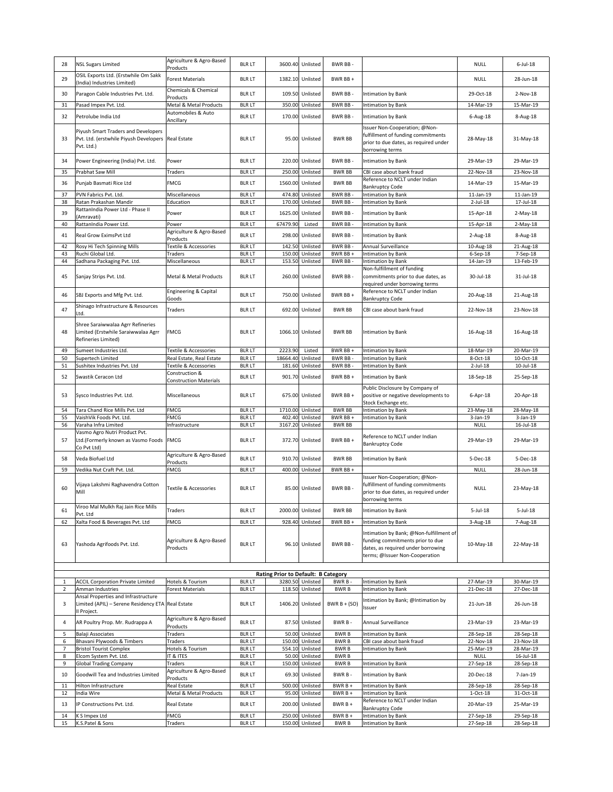| 28             | <b>NSL Sugars Limited</b>                                                                                      | Agriculture & Agro-Based<br>Products            | <b>BLR LT</b>                  |                                     | 3600.40 Unlisted                   | BWR BB-                    |                                                                                                                                                     | <b>NULL</b>                 | $6$ -Jul-18            |
|----------------|----------------------------------------------------------------------------------------------------------------|-------------------------------------------------|--------------------------------|-------------------------------------|------------------------------------|----------------------------|-----------------------------------------------------------------------------------------------------------------------------------------------------|-----------------------------|------------------------|
| 29             | OSIL Exports Ltd. (Erstwhile Om Sakk<br>(India) Industries Limited)                                            | <b>Forest Materials</b>                         | <b>BLR LT</b>                  |                                     | 1382.10 Unlisted                   | BWR BB+                    |                                                                                                                                                     | <b>NULL</b>                 | 28-Jun-18              |
| 30             | Paragon Cable Industries Pvt. Ltd.                                                                             | Chemicals & Chemical<br>Products                | <b>BLR LT</b>                  |                                     | 109.50 Unlisted                    | BWR BB-                    | Intimation by Bank                                                                                                                                  | 29-Oct-18                   | 2-Nov-18               |
| 31             | Pasad Impex Pvt. Ltd.                                                                                          | Metal & Metal Products                          | <b>BLR LT</b>                  |                                     | 350.00 Unlisted                    | BWR BB-                    | Intimation by Bank                                                                                                                                  | 14-Mar-19                   | 15-Mar-19              |
| 32             | Petrolube India Ltd                                                                                            | Automobiles & Auto                              | <b>BLR LT</b>                  |                                     | 170.00 Unlisted                    | BWR BB-                    | Intimation by Bank                                                                                                                                  | 6-Aug-18                    | 8-Aug-18               |
| 33             | Piyush Smart Traders and Developers<br>Pvt. Ltd. (erstwhile Piyush Developers<br>Pvt. Ltd.)                    | Ancillary<br><b>Real Estate</b>                 | <b>BLR LT</b>                  |                                     | 95.00 Unlisted                     | <b>BWR BB</b>              | Issuer Non-Cooperation; @Non-<br>fulfillment of funding commitments<br>prior to due dates, as required under<br>borrowing terms                     | 28-May-18                   | 31-May-18              |
| 34             | Power Engineering (India) Pvt. Ltd.                                                                            | Power                                           | <b>BLR LT</b>                  |                                     | 220.00 Unlisted                    | BWR BB-                    | Intimation by Bank                                                                                                                                  | 29-Mar-19                   | 29-Mar-19              |
| 35             | Prabhat Saw Mill                                                                                               | Traders                                         | <b>BLR LT</b>                  |                                     | 250.00 Unlisted                    | <b>BWR BB</b>              | CBI case about bank fraud                                                                                                                           | 22-Nov-18                   | 23-Nov-18              |
| 36             | Punjab Basmati Rice Ltd                                                                                        | <b>FMCG</b>                                     | <b>BLR LT</b>                  |                                     | 1560.00 Unlisted                   | <b>BWR BB</b>              | Reference to NCLT under Indian<br><b>Bankruptcy Code</b>                                                                                            | 14-Mar-19                   | 15-Mar-19              |
| 37             | PVN Fabrics Pvt. Ltd.                                                                                          | Miscellaneous                                   | <b>BLR LT</b>                  |                                     | 474.80 Unlisted                    | BWR BB-                    | Intimation by Bank                                                                                                                                  | 11-Jan-19                   | 11-Jan-19              |
| 38             | Ratan Prakashan Mandir                                                                                         | Education                                       | <b>BLR LT</b>                  |                                     | 170.00 Unlisted                    | <b>BWR BB-</b>             | Intimation by Bank                                                                                                                                  | $2$ -Jul-18                 | 17-Jul-18              |
| 39             | RattanIndia Power Ltd - Phase II<br>Amravati)                                                                  | Power                                           | <b>BLR LT</b>                  |                                     | 1625.00 Unlisted                   | BWR BB-                    | Intimation by Bank                                                                                                                                  | 15-Apr-18                   | $2-May-18$             |
| 40             | RattanIndia Power Ltd.                                                                                         | Power<br>Agriculture & Agro-Based               | <b>BLR LT</b>                  | 67479.90                            | Listed                             | BWR BB-                    | Intimation by Bank                                                                                                                                  | 15-Apr-18                   | $2-May-18$             |
| 41             | Real Grow EximsPvt Ltd                                                                                         | Products                                        | <b>BLR LT</b>                  |                                     | 298.00 Unlisted                    | BWR BB-                    | Intimation by Bank                                                                                                                                  | 2-Aug-18                    | 8-Aug-18               |
| 42<br>43       | Rosy Hi Tech Spinning Mills<br>Ruchi Global Ltd.                                                               | <b>Textile &amp; Accessories</b><br>Traders     | <b>BLR LT</b><br><b>BLR LT</b> |                                     | 142.50 Unlisted<br>150.00 Unlisted | BWR BB-<br>BWR BB+         | Annual Surveillance<br>Intimation by Bank                                                                                                           | 10-Aug-18<br>$6-$ Sep $-18$ | 21-Aug-18<br>7-Sep-18  |
| 44             | Sadhana Packaging Pvt. Ltd.                                                                                    | Miscellaneous                                   | <b>BLR LT</b>                  |                                     | 153.50 Unlisted                    | BWR BB-                    | Intimation by Bank                                                                                                                                  | 14-Jan-19                   | 13-Feb-19              |
| 45             | Sanjay Strips Pvt. Ltd.                                                                                        | Metal & Metal Products                          | <b>BLR LT</b>                  |                                     | 260.00 Unlisted                    | BWR BB-                    | Non-fulfillment of funding<br>commitments prior to due dates, as<br>required under borrowing terms                                                  | 30-Jul-18                   | 31-Jul-18              |
| 46             | SBJ Exports and Mfg Pvt. Ltd.                                                                                  | Engineering & Capital<br>Goods                  | <b>BLR LT</b>                  |                                     | 750.00 Unlisted                    | BWR BB+                    | Reference to NCLT under Indian<br><b>Bankruptcy Code</b>                                                                                            | 20-Aug-18                   | 21-Aug-18              |
| 47             | Shinago Infrastructure & Resources                                                                             | Traders                                         | <b>BLR LT</b>                  |                                     | 692.00 Unlisted                    | <b>BWR BB</b>              | CBI case about bank fraud                                                                                                                           | 22-Nov-18                   | 23-Nov-18              |
| 48             | Ltd.<br>Shree Saraiwwalaa Agrr Refineries<br>Limited (Erstwhile Saraiwwalaa Agrr<br><b>Refineries Limited)</b> | <b>FMCG</b>                                     | <b>BLR LT</b>                  |                                     | 1066.10 Unlisted                   | <b>BWR BB</b>              | <b>Intimation by Bank</b>                                                                                                                           | 16-Aug-18                   | 16-Aug-18              |
| 49             | Sumeet Industries Ltd.                                                                                         | Textile & Accessories                           | <b>BLR LT</b>                  | 2223.90                             | Listed                             | BWR BB +                   | Intimation by Bank                                                                                                                                  | 18-Mar-19                   | 20-Mar-19              |
| 50             | Supertech Limited                                                                                              | Real Estate, Real Estate                        | <b>BLR LT</b>                  | 18664.40 Unlisted                   |                                    | BWR BB-                    | Intimation by Bank                                                                                                                                  | 8-Oct-18                    | 10-Oct-18              |
| 51             | Sushitex Industries Pvt. Ltd                                                                                   | <b>Textile &amp; Accessories</b>                | <b>BLR LT</b>                  |                                     | 181.60 Unlisted                    | BWR BB-                    | Intimation by Bank                                                                                                                                  | $2$ -Jul-18                 | 10-Jul-18              |
| 52             | Swastik Ceracon Ltd                                                                                            | Construction &<br><b>Construction Materials</b> | <b>BLR LT</b>                  |                                     | 901.70 Unlisted                    | BWR BB+                    | <b>Intimation by Bank</b>                                                                                                                           | 18-Sep-18                   | 25-Sep-18              |
| 53             | Sysco Industries Pvt. Ltd.                                                                                     | Miscellaneous                                   | <b>BLR LT</b>                  |                                     | 675.00 Unlisted                    | BWR BB+                    | Public Disclosure by Company of<br>positive or negative developments to<br>Stock Exchange etc.                                                      | 6-Apr-18                    | 20-Apr-18              |
| 54             | Tara Chand Rice Mills Pvt. Ltd                                                                                 | <b>FMCG</b>                                     | <b>BLR LT</b>                  |                                     | 1710.00 Unlisted                   | <b>BWR BB</b>              | Intimation by Bank                                                                                                                                  | 23-May-18                   | 28-May-18              |
| 55             | VaishVik Foods Pvt. Ltd.                                                                                       | <b>FMCG</b>                                     | <b>BLR LT</b>                  |                                     | 402.40 Unlisted                    | BWR BB+                    | Intimation by Bank                                                                                                                                  | 3-Jan-19                    | $3$ -Jan-19            |
| 56             | Varaha Infra Limited<br>Vasmo Agro Nutri Product Pvt.                                                          | Infrastructure                                  | <b>BLR LT</b>                  |                                     | 3167.20 Unlisted                   | <b>BWR BB</b>              | Reference to NCLT under Indian                                                                                                                      | <b>NULL</b>                 | 16-Jul-18              |
| 57             | Ltd.(Formerly known as Vasmo Foods<br>Co Pvt Ltd)                                                              | <b>FMCG</b><br>Agriculture & Agro-Based         | <b>BLR LT</b>                  |                                     | 372.70 Unlisted                    | BWR BB +                   | <b>Bankruptcy Code</b>                                                                                                                              | 29-Mar-19                   | 29-Mar-19              |
| 58             | Veda Biofuel Ltd                                                                                               | Products                                        | <b>BLR LT</b>                  |                                     | 910.70 Unlisted                    | <b>BWR BB</b>              | Intimation by Bank                                                                                                                                  | 5-Dec-18                    | 5-Dec-18               |
| 59             | Vedika Nut Craft Pvt. Ltd.                                                                                     | <b>FMCG</b>                                     | <b>BLR LT</b>                  |                                     | 400.00 Unlisted                    | BWR BB+                    |                                                                                                                                                     | NULL                        | 28-Jun-18              |
| 60             | Vijaya Lakshmi Raghavendra Cotton<br>Mill                                                                      | Textile & Accessories                           | <b>BLR LT</b>                  |                                     | 85.00 Unlisted                     | BWR BB-                    | Issuer Non-Cooperation; @Non-<br>fulfillment of funding commitments<br>prior to due dates, as required under<br>borrowing terms                     | <b>NULL</b>                 | 23-May-18              |
| 61             | Viroo Mal Mulkh Raj Jain Rice Mills<br>Pvt. Ltd                                                                | Traders                                         | <b>BLR LT</b>                  |                                     | 2000.00 Unlisted                   | <b>BWR BB</b>              | Intimation by Bank                                                                                                                                  | 5-Jul-18                    | $5$ -Jul-18            |
| 62             | Xalta Food & Beverages Pvt. Ltd                                                                                | FMCG                                            | <b>BLR LT</b>                  |                                     | 928.40 Unlisted                    | BWR BB+                    | Intimation by Bank                                                                                                                                  | 3-Aug-18                    | 7-Aug-18               |
| 63             | Yashoda Agrifoods Pvt. Ltd.                                                                                    | Agriculture & Agro-Based<br>Products            | <b>BLR LT</b>                  |                                     | 96.10 Unlisted                     | BWR BB-                    | Intimation by Bank; @Non-fulfillment of<br>funding commitments prior to due<br>dates, as required under borrowing<br>terms; @Issuer Non-Cooperation | 10-May-18                   | 22-May-18              |
|                |                                                                                                                |                                                 |                                |                                     |                                    |                            |                                                                                                                                                     |                             |                        |
| 1              | <b>ACCIL Corporation Private Limited</b>                                                                       | Hotels & Tourism                                | <b>BLR LT</b>                  | Rating Prior to Default: B Category | 3280.50 Unlisted                   | BWR B-                     | Intimation by Bank                                                                                                                                  | 27-Mar-19                   | 30-Mar-19              |
| $\overline{2}$ | Amman Industries                                                                                               | <b>Forest Materials</b>                         | <b>BLR LT</b>                  |                                     | 118.50 Unlisted                    | <b>BWRB</b>                | Intimation by Bank                                                                                                                                  | 21-Dec-18                   | 27-Dec-18              |
| 3              | Ansal Properties and Infrastructure<br>Limited (APIL) - Serene Residency ETA Real Estate<br>II Project.        |                                                 | <b>BLR LT</b>                  |                                     | 1406.20 Unlisted                   | BWR $B + (SO)$             | Intimation by Bank; @Intimation by<br>Issuer                                                                                                        | 21-Jun-18                   | 26-Jun-18              |
| 4              | AR Poultry Prop. Mr. Rudrappa A                                                                                | Agriculture & Agro-Based<br>Products            | <b>BLR LT</b>                  |                                     | 87.50 Unlisted                     | BWR B-                     | Annual Surveillance                                                                                                                                 | 23-Mar-19                   | 23-Mar-19              |
| 5              | <b>Balaji Associates</b>                                                                                       | Traders                                         | <b>BLR LT</b>                  |                                     | 50.00 Unlisted                     | <b>BWRB</b>                | Intimation by Bank                                                                                                                                  | 28-Sep-18                   | 28-Sep-18              |
| 6              | Bhavani Plywoods & Timbers                                                                                     | Traders                                         | <b>BLR LT</b>                  |                                     | 150.00 Unlisted                    | <b>BWRB</b>                | CBI case about bank fraud                                                                                                                           | 22-Nov-18                   | 23-Nov-18              |
| 7              | <b>Bristol Tourist Complex</b>                                                                                 | Hotels & Tourism                                | <b>BLR LT</b>                  |                                     | 554.10 Unlisted                    | <b>BWRB</b>                | Intimation by Bank                                                                                                                                  | 25-Mar-19                   | 28-Mar-19              |
| 8<br>9         | Elcom System Pvt. Ltd.<br><b>Global Trading Company</b>                                                        | IT & ITES<br>Traders                            | <b>BLR LT</b><br><b>BLR LT</b> |                                     | 50.00 Unlisted<br>150.00 Unlisted  | <b>BWRB</b><br><b>BWRB</b> | Intimation by Bank                                                                                                                                  | <b>NULL</b><br>27-Sep-18    | 16-Jul-18<br>28-Sep-18 |
| 10             | Goodwill Tea and Industries Limited                                                                            | Agriculture & Agro-Based                        | <b>BLR LT</b>                  |                                     | 69.30 Unlisted                     | BWR B-                     | Intimation by Bank                                                                                                                                  | 20-Dec-18                   | 7-Jan-19               |
| 11             | Hilton Infrastructure                                                                                          | Products<br>Real Estate                         | <b>BLR LT</b>                  |                                     | 500.00 Unlisted                    | BWR B +                    | Intimation by Bank                                                                                                                                  | 28-Sep-18                   | 28-Sep-18              |
| 12             | India Wire                                                                                                     | Metal & Metal Products                          | <b>BLR LT</b>                  |                                     | 95.00 Unlisted                     | BWR B +                    | Intimation by Bank                                                                                                                                  | $1-Oct-18$                  | 31-Oct-18              |
| 13             | IP Constructions Pvt. Ltd.                                                                                     | Real Estate                                     | <b>BLR LT</b>                  |                                     | 200.00 Unlisted                    | BWR B +                    | Reference to NCLT under Indian<br><b>Bankruptcy Code</b>                                                                                            | 20-Mar-19                   | 25-Mar-19              |
| 14             | K S Impex Ltd                                                                                                  | <b>FMCG</b>                                     | <b>BLR LT</b>                  |                                     | 250.00 Unlisted                    | BWR B +                    | Intimation by Bank                                                                                                                                  | 27-Sep-18                   | 29-Sep-18              |
| 15             | K.S.Patel & Sons                                                                                               | Traders                                         | <b>BLR LT</b>                  |                                     | 150.00 Unlisted                    | <b>BWRB</b>                | <b>Intimation by Bank</b>                                                                                                                           | 27-Sep-18                   | 28-Sep-18              |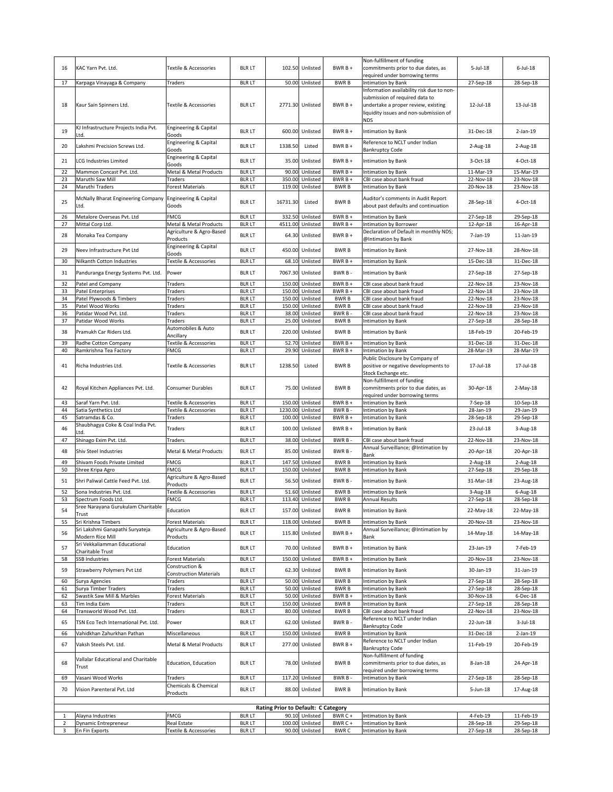| 16       | KAC Yarn Pvt. Ltd.                                            | Textile & Accessories                               | <b>BLR LT</b>                  |                                     | 102.50 Unlisted                    | $BWRB +$               | Non-fulfillment of funding<br>commitments prior to due dates, as                                                                                             | $5$ -Jul-18            | $6$ -Jul-18            |
|----------|---------------------------------------------------------------|-----------------------------------------------------|--------------------------------|-------------------------------------|------------------------------------|------------------------|--------------------------------------------------------------------------------------------------------------------------------------------------------------|------------------------|------------------------|
|          |                                                               |                                                     |                                |                                     |                                    |                        | required under borrowing terms                                                                                                                               |                        |                        |
| 17       | Karpaga Vinayaga & Company                                    | Traders                                             | <b>BLR LT</b>                  |                                     | 50.00 Unlisted                     | <b>BWRB</b>            | <b>Intimation by Bank</b>                                                                                                                                    | 27-Sep-18              | 28-Sep-18              |
| 18       | Kaur Sain Spinners Ltd.                                       | Textile & Accessories                               | <b>BLR LT</b>                  |                                     | 2771.30 Unlisted                   | $BWRB +$               | Information availability risk due to non-<br>submission of required data to<br>undertake a proper review, existing<br>liquidity issues and non-submission of | 12-Jul-18              | 13-Jul-18              |
| 19       | KJ Infrastructure Projects India Pvt.<br>Ltd.                 | Engineering & Capital<br>Goods                      | <b>BLR LT</b>                  |                                     | 600.00 Unlisted                    | $BWRB+$                | NDS<br>Intimation by Bank                                                                                                                                    | 31-Dec-18              | $2-Jan-19$             |
| 20       | Lakshmi Precision Screws Ltd.                                 | Engineering & Capital                               | <b>BLR LT</b>                  | 1338.50                             | Listed                             | $BWRB+$                | Reference to NCLT under Indian                                                                                                                               | $2$ -Aug- $18$         | 2-Aug-18               |
| 21       | <b>LCG Industries Limited</b>                                 | Goods<br><b>Engineering &amp; Capital</b>           | <b>BLR LT</b>                  |                                     | 35.00 Unlisted                     | $BWRB+$                | <b>Bankruptcy Code</b><br>Intimation by Bank                                                                                                                 | $3-Oct-18$             | 4-Oct-18               |
|          | Mammon Concast Pvt. Ltd.                                      | Goods<br>Metal & Metal Products                     |                                |                                     |                                    |                        |                                                                                                                                                              |                        |                        |
| 22<br>23 | Maruthi Saw Mill                                              | Traders                                             | <b>BLR LT</b><br><b>BLR LT</b> |                                     | 90.00 Unlisted<br>350.00 Unlisted  | BWR B +<br>BWR B +     | <b>Intimation by Bank</b><br>CBI case about bank fraud                                                                                                       | 11-Mar-19<br>22-Nov-18 | 15-Mar-19<br>23-Nov-18 |
| 24       | Maruthi Traders                                               | <b>Forest Materials</b>                             | <b>BLR LT</b>                  |                                     | 119.00 Unlisted                    | <b>BWRB</b>            | <b>Intimation by Bank</b>                                                                                                                                    | 20-Nov-18              | 23-Nov-18              |
| 25       | McNally Bharat Engineering Company<br>Ltd.                    | <b>Engineering &amp; Capital</b><br>Goods           | <b>BLR LT</b>                  | 16731.30                            | Listed                             | <b>BWRB</b>            | Auditor's comments in Audit Report<br>about past defaults and continuation                                                                                   | 28-Sep-18              | 4-Oct-18               |
| 26       | Metalore Overseas Pvt. Ltd                                    | <b>FMCG</b>                                         | <b>BLR LT</b>                  |                                     | 332.50 Unlisted                    | $BWRB +$               | Intimation by Bank                                                                                                                                           | 27-Sep-18              | 29-Sep-18              |
| 27       | Mittal Corp Ltd.                                              | Metal & Metal Products                              | <b>BLR LT</b>                  |                                     | 4511.00 Unlisted                   | BWR B +                | Intimation by Borrower                                                                                                                                       | 12-Apr-18              | 16-Apr-18              |
| 28       | Monaka Tea Company                                            | Agriculture & Agro-Based<br>Products                | <b>BLR LT</b>                  |                                     | 64.30 Unlisted                     | BWR B +                | Declaration of Default in monthly NDS;<br>@Intimation by Bank                                                                                                | 7-Jan-19               | 11-Jan-19              |
| 29       | Neev Infrastructure Pvt Ltd                                   | Engineering & Capital                               | <b>BLR LT</b>                  |                                     | 450.00 Unlisted                    | <b>BWRB</b>            | Intimation by Bank                                                                                                                                           | 27-Nov-18              | 28-Nov-18              |
| 30       | Nilkanth Cotton Industries                                    | Goods<br>Textile & Accessories                      | <b>BLR LT</b>                  |                                     | 68.10 Unlisted                     | BWR B +                | Intimation by Bank                                                                                                                                           | 15-Dec-18              | 31-Dec-18              |
| 31       | Panduranga Energy Systems Pvt. Ltd.                           | Power                                               | <b>BLR LT</b>                  |                                     | 7067.30 Unlisted                   | BWR B-                 | Intimation by Bank                                                                                                                                           | 27-Sep-18              | 27-Sep-18              |
| 32       | Patel and Company                                             | Traders                                             | <b>BLR LT</b>                  |                                     | 150.00 Unlisted                    | $BWRB +$               | CBI case about bank fraud                                                                                                                                    | 22-Nov-18              | 23-Nov-18              |
| 33       | <b>Patel Enterprises</b>                                      | Traders                                             | <b>BLR LT</b>                  |                                     | 150.00 Unlisted                    | BWR B +                | CBI case about bank fraud                                                                                                                                    | 22-Nov-18              | 23-Nov-18              |
| 34       | Patel Plywoods & Timbers                                      | Traders                                             | <b>BLR LT</b>                  |                                     | 150.00 Unlisted                    | <b>BWRB</b>            | CBI case about bank fraud                                                                                                                                    | 22-Nov-18              | 23-Nov-18              |
| 35       | Patel Wood Works                                              | Traders                                             | <b>BLR LT</b>                  |                                     | 150.00 Unlisted                    | <b>BWRB</b>            | CBI case about bank fraud                                                                                                                                    | 22-Nov-18              | 23-Nov-18              |
| 36       | Patidar Wood Pvt. Ltd.                                        | Traders                                             | <b>BLR LT</b>                  |                                     | 38.00 Unlisted                     | BWR B-                 | CBI case about bank fraud                                                                                                                                    | 22-Nov-18              | 23-Nov-18              |
| 37       | Patidar Wood Works                                            | Traders                                             | <b>BLR LT</b>                  |                                     | 25.00 Unlisted                     | <b>BWRB</b>            | Intimation by Bank                                                                                                                                           | 27-Sep-18              | 28-Sep-18              |
| 38       | Pramukh Car Riders Ltd.                                       | Automobiles & Auto<br>Ancillary                     | <b>BLR LT</b>                  |                                     | 220.00 Unlisted                    | <b>BWRB</b>            | Intimation by Bank                                                                                                                                           | 18-Feb-19              | 20-Feb-19              |
| 39       | Radhe Cotton Company                                          | Textile & Accessories                               | <b>BLR LT</b>                  |                                     | 52.70 Unlisted                     | BWR B +                | <b>Intimation by Bank</b>                                                                                                                                    | 31-Dec-18              | 31-Dec-18              |
| 40       | Ramkrishna Tea Factory                                        | FMCG                                                | <b>BLR LT</b>                  |                                     | 29.90 Unlisted                     | BWR B +                | Intimation by Bank                                                                                                                                           | 28-Mar-19              | 28-Mar-19              |
| 41       | Richa Industries Ltd.                                         | Textile & Accessories                               | <b>BLR LT</b>                  | 1238.50                             | Listed                             | <b>BWRB</b>            | Public Disclosure by Company of<br>positive or negative developments to<br>Stock Exchange etc.                                                               | 17-Jul-18              | 17-Jul-18              |
| 42       | Royal Kitchen Appliances Pvt. Ltd.                            | <b>Consumer Durables</b>                            | <b>BLR LT</b>                  |                                     | 75.00 Unlisted                     | <b>BWRB</b>            | Non-fulfillment of funding<br>commitments prior to due dates, as<br>required under borrowing terms                                                           | 30-Apr-18              | $2-May-18$             |
| 43       | Saraf Yarn Pvt. Ltd.                                          | <b>Textile &amp; Accessories</b>                    | <b>BLR LT</b>                  |                                     | 150.00 Unlisted                    | $BWRB +$               | Intimation by Bank                                                                                                                                           | 7-Sep-18               | 10-Sep-18              |
|          |                                                               |                                                     |                                |                                     |                                    |                        |                                                                                                                                                              |                        |                        |
| 44       | Satia Synthetics Ltd                                          | <b>Textile &amp; Accessories</b>                    | <b>BLR LT</b>                  |                                     | 1230.00 Unlisted                   | BWR B-                 | Intimation by Bank                                                                                                                                           | 28-Jan-19              | 29-Jan-19              |
| 45       | Satramdas & Co.                                               | Traders                                             | <b>BLR LT</b>                  |                                     | 100.00 Unlisted                    | BWR B +                | <b>Intimation by Bank</b>                                                                                                                                    | 28-Sep-18              | 29-Sep-18              |
| 46       | Shaubhagya Coke & Coal India Pvt.                             | Traders                                             | <b>BLR LT</b>                  |                                     | 100.00 Unlisted                    | BWR B +                | Intimation by Bank                                                                                                                                           | 23-Jul-18              | 3-Aug-18               |
| 47       | .td.<br>Shinago Exim Pvt. Ltd.                                | Traders                                             | <b>BLR LT</b>                  |                                     | 38.00 Unlisted                     | BWR B-                 | CBI case about bank fraud                                                                                                                                    | 22-Nov-18              | 23-Nov-18              |
| 48       | Shiv Steel Industries                                         | Metal & Metal Products                              | <b>BLR LT</b>                  |                                     | 85.00 Unlisted                     | BWR B-                 | Annual Surveillance; @Intimation by<br>Bank                                                                                                                  | 20-Apr-18              | 20-Apr-18              |
| 49       | Shivam Foods Private Limited                                  | <b>FMCG</b>                                         | <b>BLR LT</b>                  |                                     | 147.50 Unlisted                    | <b>BWRB</b>            | Intimation by Bank                                                                                                                                           | 2-Aug-18               | 2-Aug-18               |
| 50       | Shree Kripa Agro                                              | <b>FMCG</b>                                         | <b>BLR LT</b>                  |                                     | 150.00 Unlisted                    | <b>BWRB</b>            | Intimation by Bank                                                                                                                                           | 27-Sep-18              | 29-Sep-18              |
| 51       | Shri Paliwal Cattle Feed Pvt. Ltd.                            | Agriculture & Agro-Based<br>Products                | <b>BLR LT</b>                  |                                     | 56.50 Unlisted                     | BWR B-                 | Intimation by Bank                                                                                                                                           | 31-Mar-18              | 23-Aug-18              |
| 52       | Sona Industries Pvt. Ltd.                                     | Textile & Accessories                               | <b>BLR LT</b>                  |                                     | 51.60 Unlisted                     | <b>BWRB</b>            | Intimation by Bank                                                                                                                                           | 3-Aug-18               | $6$ -Aug-18            |
| 53<br>54 | Spectrum Foods Ltd<br>Sree Narayana Gurukulam Charitable      | <b>FMCG</b>                                         | <b>BLR LT</b>                  |                                     | 113.40 Unlisted                    | <b>BWRB</b>            | <b>Annual Results</b>                                                                                                                                        | 27-Sep-18              | 28-Sep-18              |
|          | Trust                                                         | Education                                           | <b>BLR LT</b>                  |                                     | 157.00 Unlisted<br>118.00 Unlisted | <b>BWRB</b>            | <b>Intimation by Bank</b>                                                                                                                                    | 22-May-18              | 22-May-18<br>23-Nov-18 |
| 55<br>56 | Sri Krishna Timbers<br>Sri Lakshmi Ganapathi Suryateja        | <b>Forest Materials</b><br>Agriculture & Agro-Based | <b>BLR LT</b><br><b>BLR LT</b> |                                     | 115.80 Unlisted                    | <b>BWRB</b><br>BWR B + | <b>Intimation by Bank</b><br>Annual Surveillance; @Intimation by                                                                                             | 20-Nov-18<br>14-May-18 | 14-May-18              |
| 57       | Modern Rice Mill<br>Sri Vekkaliamman Educational              | Products<br>Education                               | <b>BLR LT</b>                  |                                     | 70.00 Unlisted                     | BWR B +                | Bank<br>Intimation by Bank                                                                                                                                   | 23-Jan-19              | 7-Feb-19               |
|          | Charitable Trust                                              |                                                     |                                |                                     |                                    |                        |                                                                                                                                                              |                        |                        |
| 58       | <b>SSB Industries</b>                                         | <b>Forest Materials</b><br>Construction &           | <b>BLR LT</b>                  |                                     | 150.00 Unlisted                    | BWR B +                | Intimation by Bank                                                                                                                                           | 20-Nov-18              | 23-Nov-18              |
| 59       | <b>Strawberry Polymers Pvt Ltd</b>                            | <b>Construction Materials</b>                       | <b>BLR LT</b>                  |                                     | 62.30 Unlisted                     | <b>BWRB</b>            | Intimation by Bank                                                                                                                                           | 30-Jan-19              | 31-Jan-19              |
| 60       | Surya Agencies                                                | Traders                                             | <b>BLR LT</b>                  |                                     | 50.00 Unlisted                     | <b>BWRB</b>            | Intimation by Bank                                                                                                                                           | 27-Sep-18              | 28-Sep-18              |
| 61       | Surya Timber Traders                                          | Traders                                             | <b>BLR LT</b>                  |                                     | 50.00 Unlisted                     | <b>BWRB</b>            | Intimation by Bank                                                                                                                                           | 27-Sep-18              | 28-Sep-18              |
| 62       | Swastik Saw Mill & Marbles                                    | Forest Materials                                    | <b>BLR LT</b>                  |                                     | 50.00 Unlisted                     | BWR B +                | Intimation by Bank                                                                                                                                           | 30-Nov-18              | 6-Dec-18               |
| 63       | Tim India Exim                                                | Traders                                             | <b>BLR LT</b>                  |                                     | 150.00 Unlisted                    | <b>BWRB</b>            | Intimation by Bank                                                                                                                                           | 27-Sep-18              | 28-Sep-18              |
| 64       | Transworld Wood Pvt. Ltd.                                     | Traders                                             | <b>BLR LT</b>                  |                                     | 80.00 Unlisted                     | <b>BWRB</b>            | CBI case about bank fraud<br>Reference to NCLT under Indian                                                                                                  | 22-Nov-18              | 23-Nov-18              |
| 65       | TSN Eco Tech International Pvt. Ltd.                          | Power                                               | <b>BLR LT</b>                  |                                     | 62.00 Unlisted                     | BWR B-                 | <b>Bankruptcy Code</b>                                                                                                                                       | 22-Jun-18              | $3$ -Jul-18            |
| 66       | Vahidkhan Zahurkhan Pathan                                    | Miscellaneous                                       | <b>BLR LT</b>                  |                                     | 150.00 Unlisted                    | <b>BWRB</b>            | <b>Intimation by Bank</b><br>Reference to NCLT under Indian                                                                                                  | 31-Dec-18              | 2-Jan-19               |
| 67       | Vaksh Steels Pvt. Ltd.<br>Vallalar Educational and Charitable | Metal & Metal Products                              | <b>BLR LT</b>                  |                                     | 277.00 Unlisted                    | $BWRB +$               | <b>Bankruptcy Code</b><br>Non-fulfillment of funding                                                                                                         | 11-Feb-19              | 20-Feb-19              |
| 68<br>69 | Trust<br>Vasani Wood Works                                    | Education, Education<br>Traders                     | <b>BLR LT</b><br><b>BLR LT</b> |                                     | 78.00 Unlisted<br>117.20 Unlisted  | <b>BWRB</b><br>BWR B-  | commitments prior to due dates, as<br>required under borrowing terms<br>Intimation by Bank                                                                   | 8-Jan-18<br>27-Sep-18  | 24-Apr-18<br>28-Sep-18 |
|          |                                                               | Chemicals & Chemical                                |                                |                                     |                                    |                        |                                                                                                                                                              |                        |                        |
| 70       | Vision Parenteral Pvt. Ltd                                    | Products                                            | <b>BLR LT</b>                  |                                     | 88.00 Unlisted                     | <b>BWRB</b>            | Intimation by Bank                                                                                                                                           | 5-Jun-18               | 17-Aug-18              |
|          |                                                               |                                                     |                                | Rating Prior to Default: C Category |                                    |                        |                                                                                                                                                              |                        |                        |
|          | Alayna Industries                                             | <b>FMCG</b>                                         | <b>BLR LT</b>                  |                                     | 90.10 Unlisted                     | BWR C +                | Intimation by Bank                                                                                                                                           | 4-Feb-19               | 11-Feb-19              |
| 2<br>3   | Dynamic Entrepreneur<br>En Fin Exports                        | Real Estate<br>Textile & Accessories                | <b>BLR LT</b><br><b>BLR LT</b> |                                     | 100.00 Unlisted<br>90.00 Unlisted  | BWR C+<br><b>BWRC</b>  | Intimation by Bank<br>Intimation by Bank                                                                                                                     | 28-Sep-18<br>27-Sep-18 | 29-Sep-18<br>28-Sep-18 |